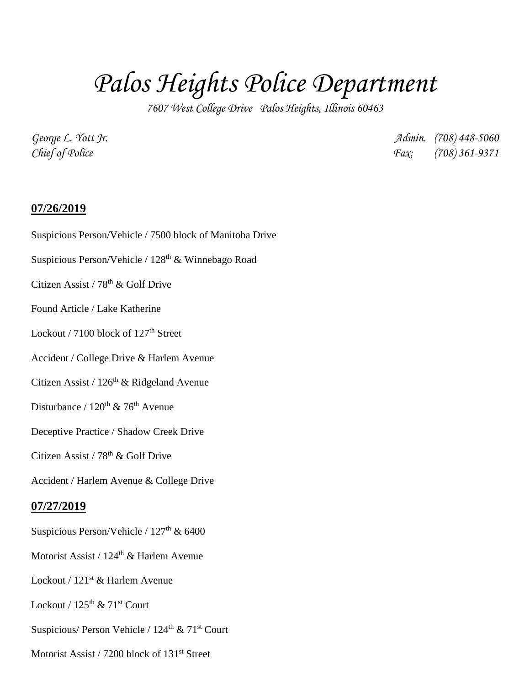# *Palos Heights Police Department*

*7607 West College Drive Palos Heights, Illinois 60463*

*George L. Yott Jr. Admin. (708) 448-5060 Chief of Police Fax: (708) 361-9371*

## **07/26/2019**

Suspicious Person/Vehicle / 7500 block of Manitoba Drive

Suspicious Person/Vehicle / 128<sup>th</sup> & Winnebago Road

Citizen Assist / 78<sup>th</sup> & Golf Drive

Found Article / Lake Katherine

Lockout / 7100 block of  $127<sup>th</sup>$  Street

Accident / College Drive & Harlem Avenue

Citizen Assist /  $126<sup>th</sup>$  & Ridgeland Avenue

Disturbance /  $120^{th}$  & 76<sup>th</sup> Avenue

Deceptive Practice / Shadow Creek Drive

Citizen Assist /  $78<sup>th</sup>$  & Golf Drive

Accident / Harlem Avenue & College Drive

#### **07/27/2019**

Suspicious Person/Vehicle /  $127<sup>th</sup>$  & 6400

Motorist Assist / 124<sup>th</sup> & Harlem Avenue

Lockout / 121<sup>st</sup> & Harlem Avenue

Lockout /  $125<sup>th</sup>$  &  $71<sup>st</sup>$  Court

Suspicious/ Person Vehicle /  $124<sup>th</sup>$  &  $71<sup>st</sup>$  Court

Motorist Assist / 7200 block of 131<sup>st</sup> Street